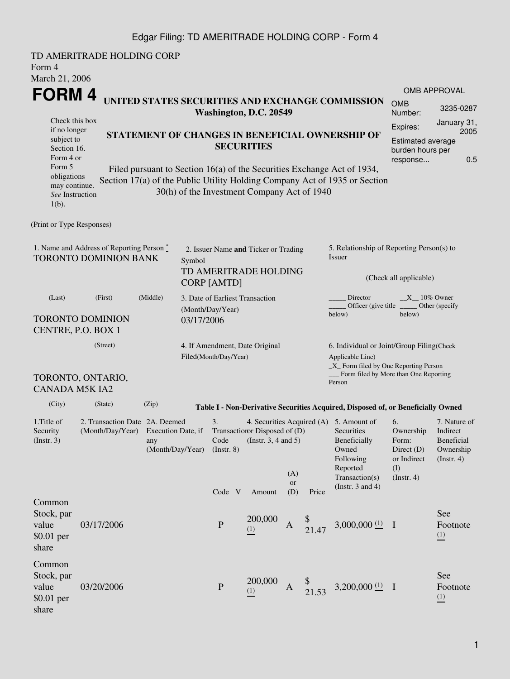### Edgar Filing: TD AMERITRADE HOLDING CORP - Form 4

| Form 4<br>March 21, 2006                                              | TD AMERITRADE HOLDING CORP                                         |                                                                      |            |                          |                                                               |                  |          |                                                                                                                                                              |                                                                                    |                                                                         |  |
|-----------------------------------------------------------------------|--------------------------------------------------------------------|----------------------------------------------------------------------|------------|--------------------------|---------------------------------------------------------------|------------------|----------|--------------------------------------------------------------------------------------------------------------------------------------------------------------|------------------------------------------------------------------------------------|-------------------------------------------------------------------------|--|
| FORM 4                                                                |                                                                    |                                                                      |            |                          |                                                               |                  |          |                                                                                                                                                              |                                                                                    | OMB APPROVAL                                                            |  |
|                                                                       |                                                                    |                                                                      |            |                          | Washington, D.C. 20549                                        |                  |          | UNITED STATES SECURITIES AND EXCHANGE COMMISSION                                                                                                             | <b>OMB</b><br>Number:                                                              | 3235-0287                                                               |  |
| Check this box<br>if no longer                                        |                                                                    |                                                                      |            |                          |                                                               |                  |          |                                                                                                                                                              | Expires:                                                                           | January 31,<br>2005                                                     |  |
| subject to<br>Section 16.<br>Form 4 or                                |                                                                    | STATEMENT OF CHANGES IN BENEFICIAL OWNERSHIP OF<br><b>SECURITIES</b> |            |                          |                                                               |                  |          |                                                                                                                                                              |                                                                                    | <b>Estimated average</b><br>burden hours per<br>0.5                     |  |
| Form 5<br>obligations<br>may continue.<br>See Instruction<br>$1(b)$ . |                                                                    |                                                                      |            |                          | 30(h) of the Investment Company Act of 1940                   |                  |          | Filed pursuant to Section 16(a) of the Securities Exchange Act of 1934,<br>Section 17(a) of the Public Utility Holding Company Act of 1935 or Section        |                                                                                    |                                                                         |  |
| (Print or Type Responses)                                             |                                                                    |                                                                      |            |                          |                                                               |                  |          |                                                                                                                                                              |                                                                                    |                                                                         |  |
|                                                                       | 1. Name and Address of Reporting Person *<br>TORONTO DOMINION BANK |                                                                      | Symbol     |                          | 2. Issuer Name and Ticker or Trading<br>TD AMERITRADE HOLDING |                  |          | 5. Relationship of Reporting Person(s) to<br>Issuer                                                                                                          | (Check all applicable)                                                             |                                                                         |  |
| (Last)                                                                | <b>CORP [AMTD]</b><br>3. Date of Earliest Transaction              |                                                                      |            |                          |                                                               |                  | Director | $X = 10\%$ Owner                                                                                                                                             |                                                                                    |                                                                         |  |
|                                                                       | (First)<br><b>TORONTO DOMINION</b><br>CENTRE, P.O. BOX 1           | (Middle)                                                             | 03/17/2006 | (Month/Day/Year)         |                                                               |                  |          | Officer (give title<br>below)                                                                                                                                | below)                                                                             | Other (specify                                                          |  |
|                                                                       | (Street)<br>TORONTO, ONTARIO,                                      |                                                                      |            | Filed(Month/Day/Year)    | 4. If Amendment, Date Original                                |                  |          | 6. Individual or Joint/Group Filing(Check<br>Applicable Line)<br>$\_X$ Form filed by One Reporting Person<br>Form filed by More than One Reporting<br>Person |                                                                                    |                                                                         |  |
| <b>CANADA M5K IA2</b>                                                 |                                                                    |                                                                      |            |                          |                                                               |                  |          |                                                                                                                                                              |                                                                                    |                                                                         |  |
| (City)                                                                | (State)                                                            | (Zip)                                                                |            |                          |                                                               |                  |          | Table I - Non-Derivative Securities Acquired, Disposed of, or Beneficially Owned                                                                             |                                                                                    |                                                                         |  |
| 1. Title of<br>Security<br>(Insert. 3)                                | 2. Transaction Date 2A, Deemed<br>(Month/Day/Year)                 | Execution Date, if<br>any<br>(Month/Day/Year)                        |            | 3.<br>Code<br>(Instr. 8) | Transaction Disposed of (D)<br>(Instr. $3, 4$ and $5$ )       | (A)<br><b>or</b> |          | 4. Securities Acquired (A) 5. Amount of<br>Securities<br>Beneficially<br>Owned<br>Following<br>Reported<br>Transaction(s)                                    | 6.<br>Ownership<br>Form:<br>Direct $(D)$<br>or Indirect<br>(I)<br>$($ Instr. 4 $)$ | 7. Nature of<br>Indirect<br>Beneficial<br>Ownership<br>$($ Instr. 4 $)$ |  |
|                                                                       |                                                                    |                                                                      |            | Code V                   | Amount                                                        | (D)              | Price    | (Instr. $3$ and $4$ )                                                                                                                                        |                                                                                    |                                                                         |  |
| Common<br>Stock, par<br>value<br>$$0.01$ per<br>share                 | 03/17/2006                                                         |                                                                      |            | $\mathbf P$              | 200,000<br>(1)                                                | A                | 21.47    | $3,000,000$ <sup>(1)</sup> I                                                                                                                                 |                                                                                    | See<br>Footnote<br>(1)                                                  |  |
| Common<br>Stock, par<br>value<br>$$0.01$ per<br>share                 | 03/20/2006                                                         |                                                                      |            | $\mathbf P$              | 200,000<br>(1)                                                | A                | 21.53    | 3,200,000 $(1)$ I                                                                                                                                            |                                                                                    | See<br>Footnote<br>(1)                                                  |  |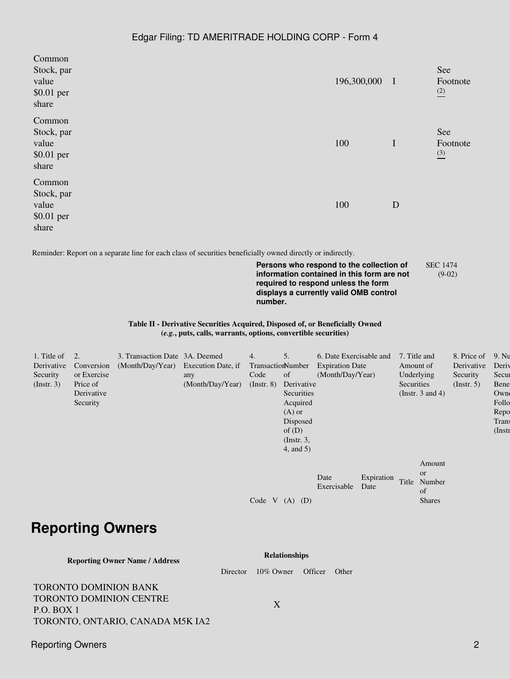#### Edgar Filing: TD AMERITRADE HOLDING CORP - Form 4

| Common     |             |              |                 |
|------------|-------------|--------------|-----------------|
| Stock, par |             |              | See             |
| value      | 196,300,000 | $\mathbf{I}$ | Footnote        |
| \$0.01 per |             |              | $\frac{(2)}{2}$ |
| share      |             |              |                 |
| Common     |             |              |                 |
| Stock, par |             |              | See             |
| value      | 100         | $\mathbf I$  | Footnote        |
| \$0.01 per |             |              | $\frac{(3)}{2}$ |
| share      |             |              |                 |
| Common     |             |              |                 |
| Stock, par |             |              |                 |
| value      | 100         | D            |                 |
| \$0.01 per |             |              |                 |
| share      |             |              |                 |
|            |             |              |                 |

Reminder: Report on a separate line for each class of securities beneficially owned directly or indirectly.

**Persons who respond to the collection of information contained in this form are not required to respond unless the form displays a currently valid OMB control number.** SEC 1474 (9-02)

**Table II - Derivative Securities Acquired, Disposed of, or Beneficially Owned (***e.g.***, puts, calls, warrants, options, convertible securities)**

| 1. Title of      | 2.          | 3. Transaction Date 3A. Deemed      |                  | 4.                | 5.              | 6. Date Exercisable and |            | 7. Title and |                       | 8. Price of      | 9. Nu     |
|------------------|-------------|-------------------------------------|------------------|-------------------|-----------------|-------------------------|------------|--------------|-----------------------|------------------|-----------|
| Derivative       | Conversion  | (Month/Day/Year) Execution Date, if |                  | TransactionNumber |                 | <b>Expiration Date</b>  |            | Amount of    |                       | Derivative       | Deriy     |
| Security         | or Exercise |                                     | any              | Code              | of              | (Month/Day/Year)        |            | Underlying   |                       | Security         | Secur     |
| $($ Instr. 3 $)$ | Price of    |                                     | (Month/Day/Year) | $($ Instr. $8)$   | Derivative      |                         |            | Securities   |                       | $($ Instr. 5 $)$ | Bene      |
|                  | Derivative  |                                     |                  |                   | Securities      |                         |            |              | (Instr. $3$ and $4$ ) |                  | Owne      |
|                  | Security    |                                     |                  |                   | Acquired        |                         |            |              |                       |                  | Follo     |
|                  |             |                                     |                  |                   | $(A)$ or        |                         |            |              |                       |                  | Repo      |
|                  |             |                                     |                  |                   | Disposed        |                         |            |              |                       |                  | Trans     |
|                  |             |                                     |                  |                   | of $(D)$        |                         |            |              |                       |                  | $($ Instr |
|                  |             |                                     |                  |                   | $($ Instr. 3,   |                         |            |              |                       |                  |           |
|                  |             |                                     |                  |                   | $4$ , and $5$ ) |                         |            |              |                       |                  |           |
|                  |             |                                     |                  |                   |                 |                         |            |              |                       |                  |           |
|                  |             |                                     |                  |                   |                 |                         |            |              | Amount                |                  |           |
|                  |             |                                     |                  |                   |                 | Date                    | Expiration |              | <b>or</b>             |                  |           |
|                  |             |                                     |                  |                   |                 | Exercisable             | Date       | Title        | Number                |                  |           |
|                  |             |                                     |                  |                   |                 |                         |            |              | of                    |                  |           |
|                  |             |                                     |                  | V<br>Code         | $(A)$ $(D)$     |                         |            |              | <b>Shares</b>         |                  |           |
|                  |             |                                     |                  |                   |                 |                         |            |              |                       |                  |           |
|                  |             |                                     |                  |                   |                 |                         |            |              |                       |                  |           |
|                  |             | <b>Reporting Owners</b>             |                  |                   |                 |                         |            |              |                       |                  |           |

#### **Reporting Owner Name / Address Relationships** Director 10% Owner Officer Other TORONTO DOMINION BANK TORONTO DOMINION CENTRE P.O. BOX 1 TORONTO, ONTARIO, CANADA M5K IA2 X